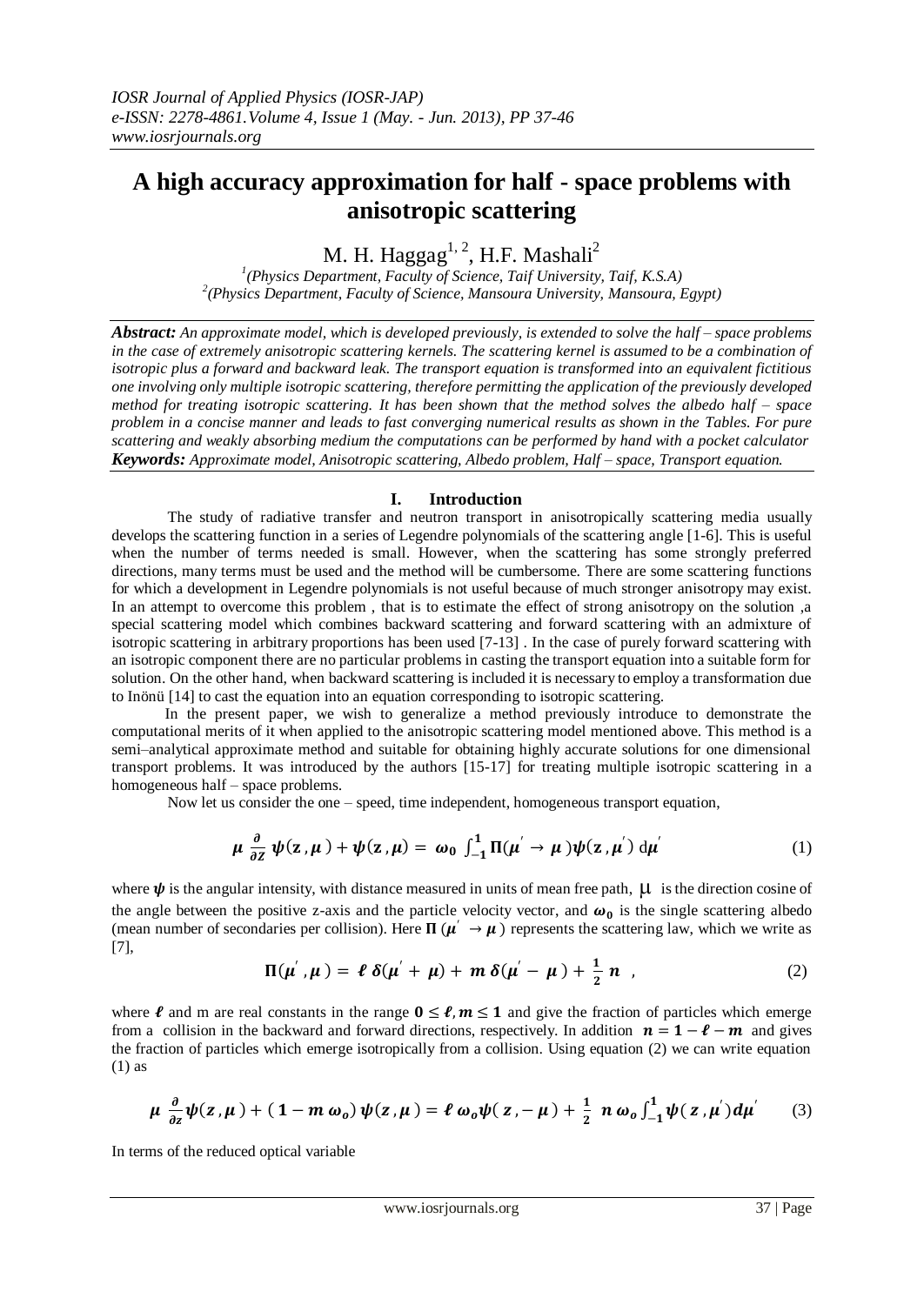# **A high accuracy approximation for half - space problems with anisotropic scattering**

M. H. Haggag $^{1, 2}$ , H.F. Mashali $^2$ 

*1 (Physics Department, Faculty of Science, Taif University, Taif, K.S.A) 2 (Physics Department, Faculty of Science, Mansoura University, Mansoura, Egypt)*

*Abstract: An approximate model, which is developed previously, is extended to solve the half – space problems in the case of extremely anisotropic scattering kernels. The scattering kernel is assumed to be a combination of isotropic plus a forward and backward leak. The transport equation is transformed into an equivalent fictitious one involving only multiple isotropic scattering, therefore permitting the application of the previously developed method for treating isotropic scattering. It has been shown that the method solves the albedo half – space problem in a concise manner and leads to fast converging numerical results as shown in the Tables. For pure scattering and weakly absorbing medium the computations can be performed by hand with a pocket calculator Keywords: Approximate model, Anisotropic scattering, Albedo problem, Half – space, Transport equation.*

# **I. Introduction**

 The study of radiative transfer and neutron transport in anisotropically scattering media usually develops the scattering function in a series of Legendre polynomials of the scattering angle [1-6]. This is useful when the number of terms needed is small. However, when the scattering has some strongly preferred directions, many terms must be used and the method will be cumbersome. There are some scattering functions for which a development in Legendre polynomials is not useful because of much stronger anisotropy may exist. In an attempt to overcome this problem , that is to estimate the effect of strong anisotropy on the solution ,a special scattering model which combines backward scattering and forward scattering with an admixture of isotropic scattering in arbitrary proportions has been used [7-13] . In the case of purely forward scattering with an isotropic component there are no particular problems in casting the transport equation into a suitable form for solution. On the other hand, when backward scattering is included it is necessary to employ a transformation due to Inönü [14] to cast the equation into an equation corresponding to isotropic scattering.

 In the present paper, we wish to generalize a method previously introduce to demonstrate the computational merits of it when applied to the anisotropic scattering model mentioned above. This method is a semi–analytical approximate method and suitable for obtaining highly accurate solutions for one dimensional transport problems. It was introduced by the authors [15-17] for treating multiple isotropic scattering in a homogeneous half – space problems.

Now let us consider the one – speed, time independent, homogeneous transport equation,

$$
\mu \frac{\partial}{\partial z} \psi(z,\mu) + \psi(z,\mu) = \omega_0 \int_{-1}^{1} \Pi(\mu' \to \mu) \psi(z,\mu') d\mu'
$$
 (1)

where  $\psi$  is the angular intensity, with distance measured in units of mean free path,  $\mu$  is the direction cosine of the angle between the positive z-axis and the particle velocity vector, and  $\omega_0$  is the single scattering albedo (mean number of secondaries per collision). Here  $\Pi(\mu \to \mu)$  represents the scattering law, which we write as [7],

$$
\Pi(\mu^{'}, \mu) = \ell \delta(\mu^{'} + \mu) + m \delta(\mu^{'} - \mu) + \frac{1}{2} n \quad , \tag{2}
$$

where  $\ell$  and m are real constants in the range  $0 \leq \ell, m \leq 1$  and give the fraction of particles which emerge from a collision in the backward and forward directions, respectively. In addition  $n = 1 - \ell - m$  and gives the fraction of particles which emerge isotropically from a collision. Using equation (2) we can write equation (1) as

$$
\mu \frac{\partial}{\partial z}\psi(z,\mu) + (1 - m\omega_0)\psi(z,\mu) = \ell \omega_0 \psi(z, -\mu) + \frac{1}{2} n \omega_0 \int_{-1}^1 \psi(z,\mu') d\mu' \qquad (3)
$$

In terms of the reduced optical variable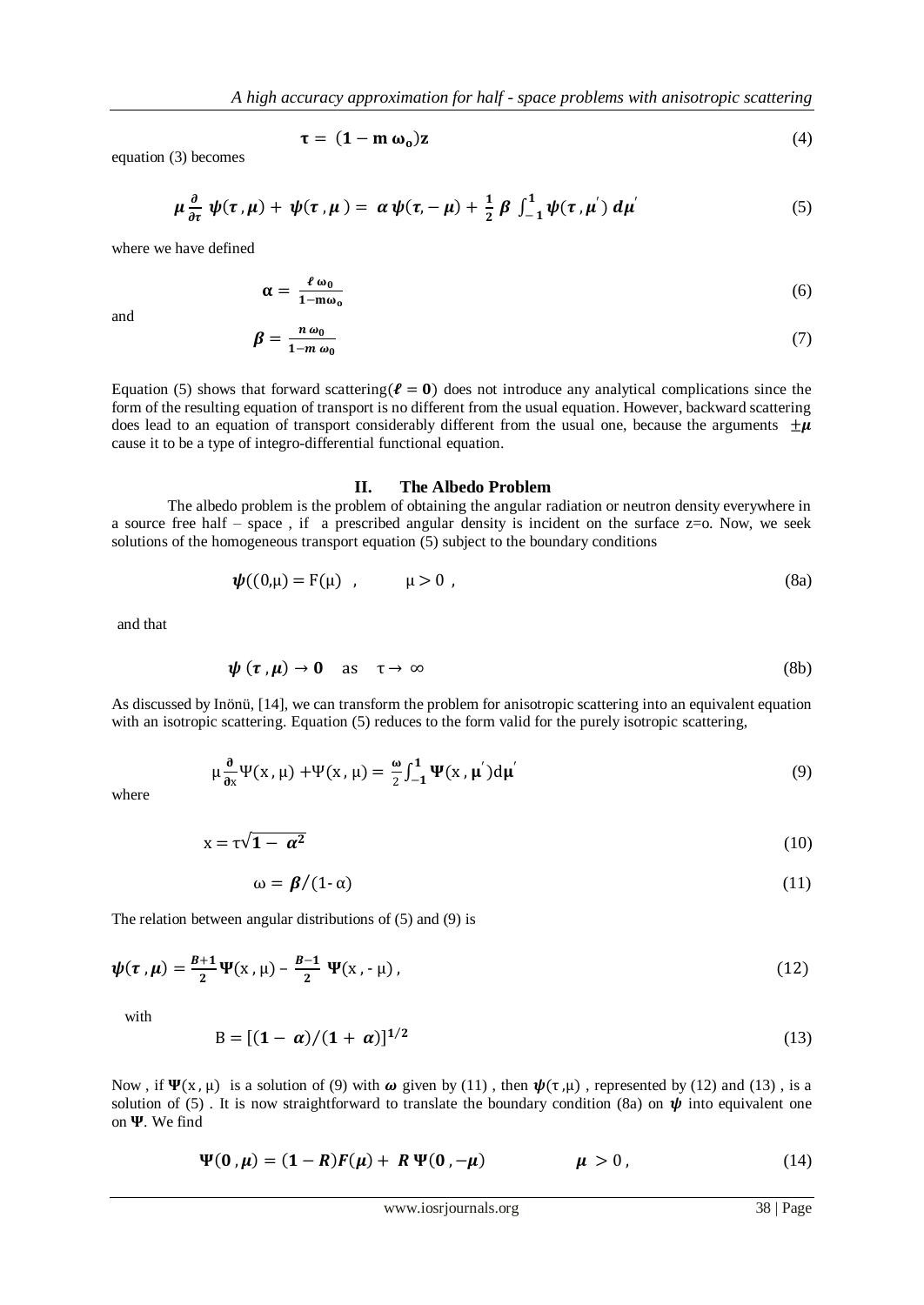$$
\tau = (1 - m \omega_0)z \tag{4}
$$

equation (3) becomes

$$
\mu \frac{\partial}{\partial \tau} \psi(\tau, \mu) + \psi(\tau, \mu) = \alpha \psi(\tau, -\mu) + \frac{1}{2} \beta \int_{-1}^{1} \psi(\tau, \mu') d\mu'
$$
(5)

where we have defined

$$
\alpha = \frac{\ell \omega_0}{1 - m \omega_0} \tag{6}
$$

and

$$
\beta = \frac{n\,\omega_0}{1 - m\,\omega_0} \tag{7}
$$

Equation (5) shows that forward scattering( $\ell = 0$ ) does not introduce any analytical complications since the form of the resulting equation of transport is no different from the usual equation. However, backward scattering does lead to an equation of transport considerably different from the usual one, because the arguments  $\pm \mu$ cause it to be a type of integro-differential functional equation.

#### **II. The Albedo Problem**

 The albedo problem is the problem of obtaining the angular radiation or neutron density everywhere in a source free half – space, if a prescribed angular density is incident on the surface  $z=0$ . Now, we seek solutions of the homogeneous transport equation (5) subject to the boundary conditions

$$
\psi((0,\mu) = F(\mu) \quad , \quad \mu > 0 \quad , \tag{8a}
$$

and that

$$
\psi(\tau,\mu) \to 0 \quad \text{as} \quad \tau \to \infty \tag{8b}
$$

As discussed by Inönü, [14], we can transform the problem for anisotropic scattering into an equivalent equation with an isotropic scattering. Equation (5) reduces to the form valid for the purely isotropic scattering,

$$
\mu \frac{\partial}{\partial x} \Psi(x, \mu) + \Psi(x, \mu) = \frac{\omega}{2} \int_{-1}^{1} \Psi(x, \mu') d\mu'
$$
(9)

where

$$
x = \tau \sqrt{1 - \alpha^2} \tag{10}
$$

$$
\omega = \beta / (1 - \alpha) \tag{11}
$$

The relation between angular distributions of (5) and (9) is

$$
\psi(\tau,\mu) = \frac{B+1}{2}\Psi(x,\mu) - \frac{B-1}{2}\Psi(x,-\mu),
$$
\n(12)

with

$$
B = [(1 - \alpha)/(1 + \alpha)]^{1/2}
$$
 (13)

Now, if  $\Psi(x, \mu)$  is a solution of (9) with  $\omega$  given by (11), then  $\psi(\tau, \mu)$ , represented by (12) and (13), is a solution of (5). It is now straightforward to translate the boundary condition (8a) on  $\psi$  into equivalent one on  $\Psi$ . We find

$$
\Psi(0,\mu) = (1 - R)F(\mu) + R \Psi(0, -\mu) \qquad \mu > 0, \qquad (14)
$$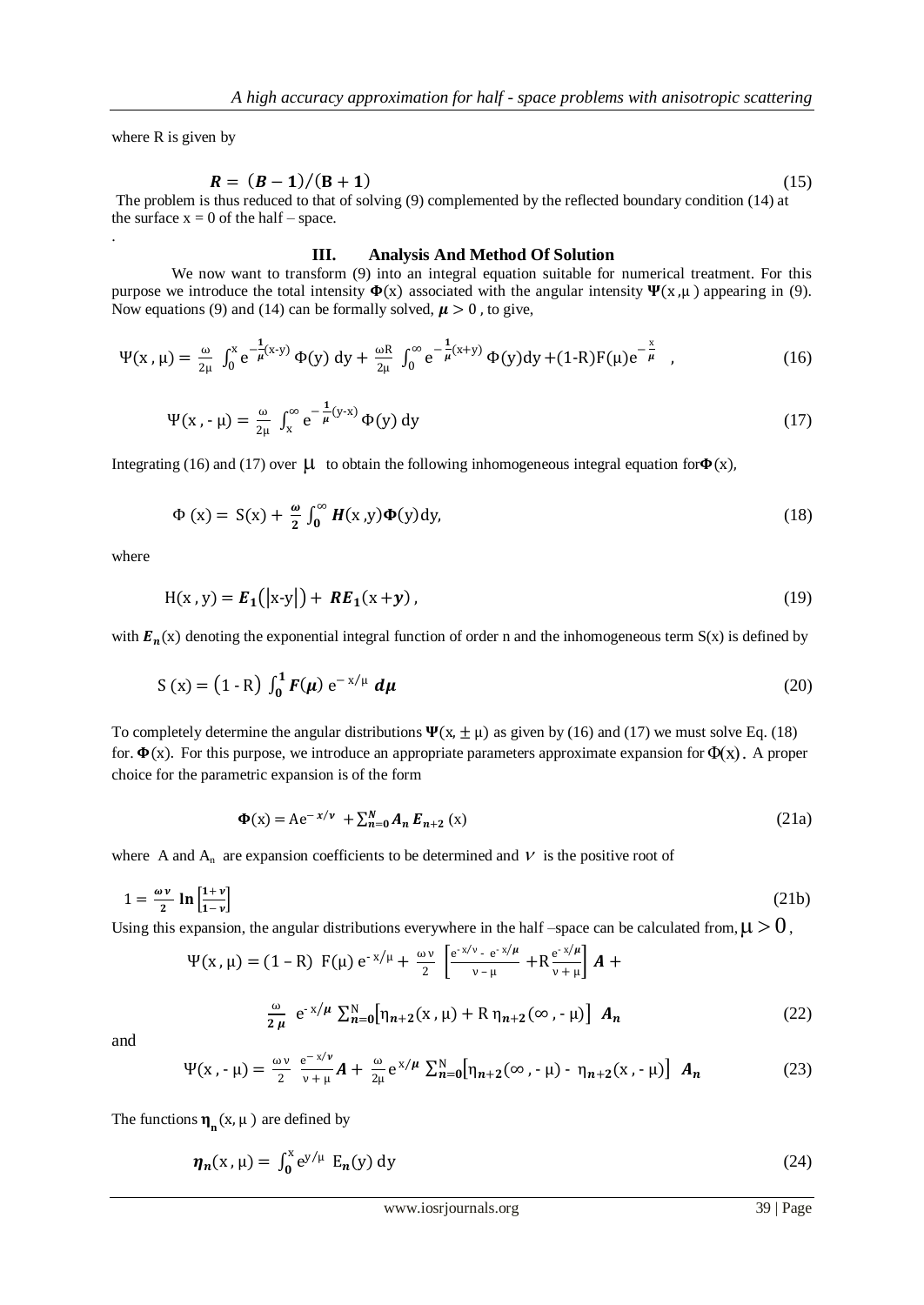where R is given by

.

$$
R = (B-1)/(B+1)
$$
 (15)

The problem is thus reduced to that of solving (9) complemented by the reflected boundary condition (14) at the surface  $x = 0$  of the half – space.

#### **III. Analysis And Method Of Solution**

We now want to transform (9) into an integral equation suitable for numerical treatment. For this purpose we introduce the total intensity  $\Phi(x)$  associated with the angular intensity  $\Psi(x,\mu)$  appearing in (9). Now equations (9) and (14) can be formally solved,  $\mu > 0$ , to give,

$$
\Psi(x,\mu) = \frac{\omega}{2\mu} \int_0^x e^{-\frac{1}{\mu}(x-y)} \Phi(y) \, dy + \frac{\omega R}{2\mu} \int_0^\infty e^{-\frac{1}{\mu}(x+y)} \Phi(y) \, dy + (1-R)F(\mu)e^{-\frac{x}{\mu}},\tag{16}
$$

$$
\Psi(x, -\mu) = \frac{\omega}{2\mu} \int_{x}^{\infty} e^{-\frac{1}{\mu}(y-x)} \Phi(y) dy
$$
\n(17)

Integrating (16) and (17) over  $\mu$  to obtain the following inhomogeneous integral equation for  $\Phi(x)$ ,

$$
\Phi(x) = S(x) + \frac{\omega}{2} \int_0^\infty H(x, y) \Phi(y) dy,
$$
\n(18)

where

$$
H(x, y) = E_1(|x-y|) + RE_1(x+y), \qquad (19)
$$

with  $E_n(x)$  denoting the exponential integral function of order n and the inhomogeneous term  $S(x)$  is defined by

$$
S(x) = (1 - R) \int_0^1 F(\mu) e^{-x/\mu} d\mu
$$
 (20)

To completely determine the angular distributions  $\Psi(x, \pm \mu)$  as given by (16) and (17) we must solve Eq. (18) for.  $\Phi(x)$ . For this purpose, we introduce an appropriate parameters approximate expansion for  $\Phi(x)$ . A proper choice for the parametric expansion is of the form

$$
\Phi(x) = Ae^{-x/\nu} + \sum_{n=0}^{N} A_n E_{n+2} (x)
$$
\n(21a)

where A and  $A_n$  are expansion coefficients to be determined and  $V$  is the positive root of

$$
1 = \frac{\omega v}{2} \ln \left[ \frac{1+v}{1-v} \right] \tag{21b}
$$

Using this expansion, the angular distributions everywhere in the half –space can be calculated from,  $\mu > 0$ ,

$$
\Psi(x, \mu) = (1 - R) F(\mu) e^{-x/\mu} + \frac{\omega \nu}{2} \left[ \frac{e^{-x/\nu} - e^{-x/\mu}}{\nu - \mu} + R \frac{e^{-x/\mu}}{\nu + \mu} \right] A +
$$
  

$$
\frac{\omega}{2\mu} e^{-x/\mu} \sum_{n=0}^{N} [\eta_{n+2}(x, \mu) + R \eta_{n+2}(\infty, -\mu)] A_n
$$
 (22)

and

$$
\Psi(x, -\mu) = \frac{\omega v}{2} \frac{e^{-x/\nu}}{v+\mu} A + \frac{\omega}{2\mu} e^{x/\mu} \sum_{n=0}^{N} [\eta_{n+2}(\infty, -\mu) - \eta_{n+2}(x, -\mu)] A_n
$$
 (23)

The functions  $\eta_n(x, \mu)$  are defined by

$$
\eta_n(x,\mu) = \int_0^x e^{y/\mu} E_n(y) dy
$$
 (24)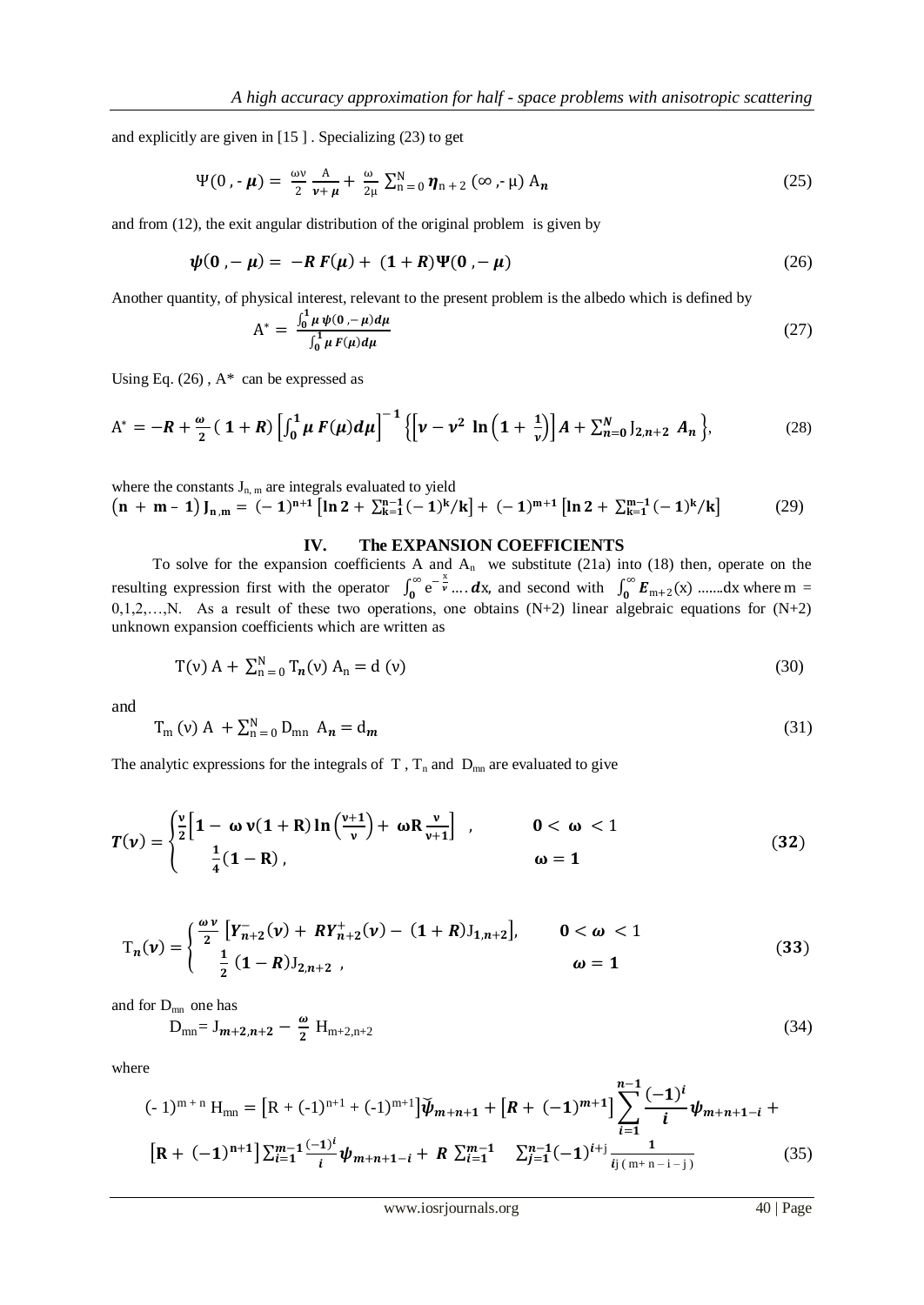and explicitly are given in [15 ] . Specializing (23) to get

$$
\Psi(0, \cdot \boldsymbol{\mu}) = \frac{\omega v}{2} \frac{A}{\nu + \boldsymbol{\mu}} + \frac{\omega}{2\mu} \sum_{n=0}^{N} \boldsymbol{\eta}_{n+2} (\infty, -\mu) A_n
$$
 (25)

and from (12), the exit angular distribution of the original problem is given by

$$
\psi(0, -\mu) = -R F(\mu) + (1+R)\Psi(0, -\mu)
$$
\n(26)

Another quantity, of physical interest, relevant to the present problem is the albedo which is defined by

$$
A^* = \frac{\int_0^1 \mu \, \psi(0, -\mu) d\mu}{\int_0^1 \mu \, F(\mu) d\mu}
$$
\n(27)

Using Eq.  $(26)$ ,  $A^*$  can be expressed as

$$
A^* = -R + \frac{\omega}{2} (1+R) \left[ \int_0^1 \mu F(\mu) d\mu \right]^{-1} \left\{ \left[ \nu - \nu^2 \ln \left( 1 + \frac{1}{\nu} \right) \right] A + \sum_{n=0}^N J_{2,n+2} A_n \right\},\tag{28}
$$

where the constants  $J_{n,m}$  are integrals evaluated to yield  $\left(n + m - 1\right) I_{n,m} = (-1)^{n+1} \left[ \ln 2 + \sum_{k=1}^{n-1} (-1)^k / k \right] + (-1)^{m+1} \left[ \ln 2 + \sum_{k=1}^{m-1} (-1)^k / k \right]$ (29)

# **IV. The EXPANSION COEFFICIENTS**

To solve for the expansion coefficients A and  $A_n$  we substitute (21a) into (18) then, operate on the resulting expression first with the operator  $\int_0^\infty e^{-\frac{x^2}{v}}$  $\int_0^{\infty} e^{-\frac{x}{\mathbf{v}}}\dots d\mathbf{x}$ , and second with  $\int_0^{\infty} \mathbf{E}_{m+2}(\mathbf{x})\dots d\mathbf{x}$  where m =  $0,1,2,...,N$ . As a result of these two operations, one obtains  $(N+2)$  linear algebraic equations for  $(N+2)$ unknown expansion coefficients which are written as

$$
T(v) A + \sum_{n=0}^{N} T_n(v) A_n = d(v)
$$
 (30)

and

$$
T_m(v) A + \sum_{n=0}^{N} D_{mn} A_n = d_m
$$
\n
$$
(31)
$$

The analytic expressions for the integrals of  $T$ ,  $T_n$  and  $D_{mn}$  are evaluated to give

$$
T(\nu) = \begin{cases} \frac{\nu}{2} \Big[ 1 - \omega \nu (1 + R) \ln \Big( \frac{\nu + 1}{\nu} \Big) + \omega R \frac{\nu}{\nu + 1} \Big] , & 0 < \omega < 1 \\ \frac{1}{4} (1 - R) , & \omega = 1 \end{cases}
$$
(32)

$$
T_n(\nu) = \begin{cases} \frac{\omega \nu}{2} \left[ Y_{n+2}^-(\nu) + R Y_{n+2}^+(\nu) - (1+R) J_{1,n+2} \right], & 0 < \omega < 1\\ \frac{1}{2} \left( 1 - R \right) J_{2,n+2}, & \omega = 1 \end{cases}
$$
(33)

and for  $D_{mn}$  one has

$$
D_{mn} = J_{m+2,n+2} - \frac{\omega}{2} H_{m+2,n+2}
$$
 (34)

where

$$
(-1)^{m+n} H_{mn} = [R + (-1)^{n+1} + (-1)^{m+1}] \tilde{\psi}_{m+n+1} + [R + (-1)^{m+1}] \sum_{i=1}^{n-1} \frac{(-1)^i}{i} \psi_{m+n+1-i} +
$$
  
\n
$$
[R + (-1)^{n+1}] \sum_{i=1}^{m-1} \frac{(-1)^i}{i} \psi_{m+n+1-i} + R \sum_{i=1}^{m-1} \sum_{j=1}^{n-1} (-1)^{i+j} \frac{1}{i! (m+n-i-j)}
$$
(35)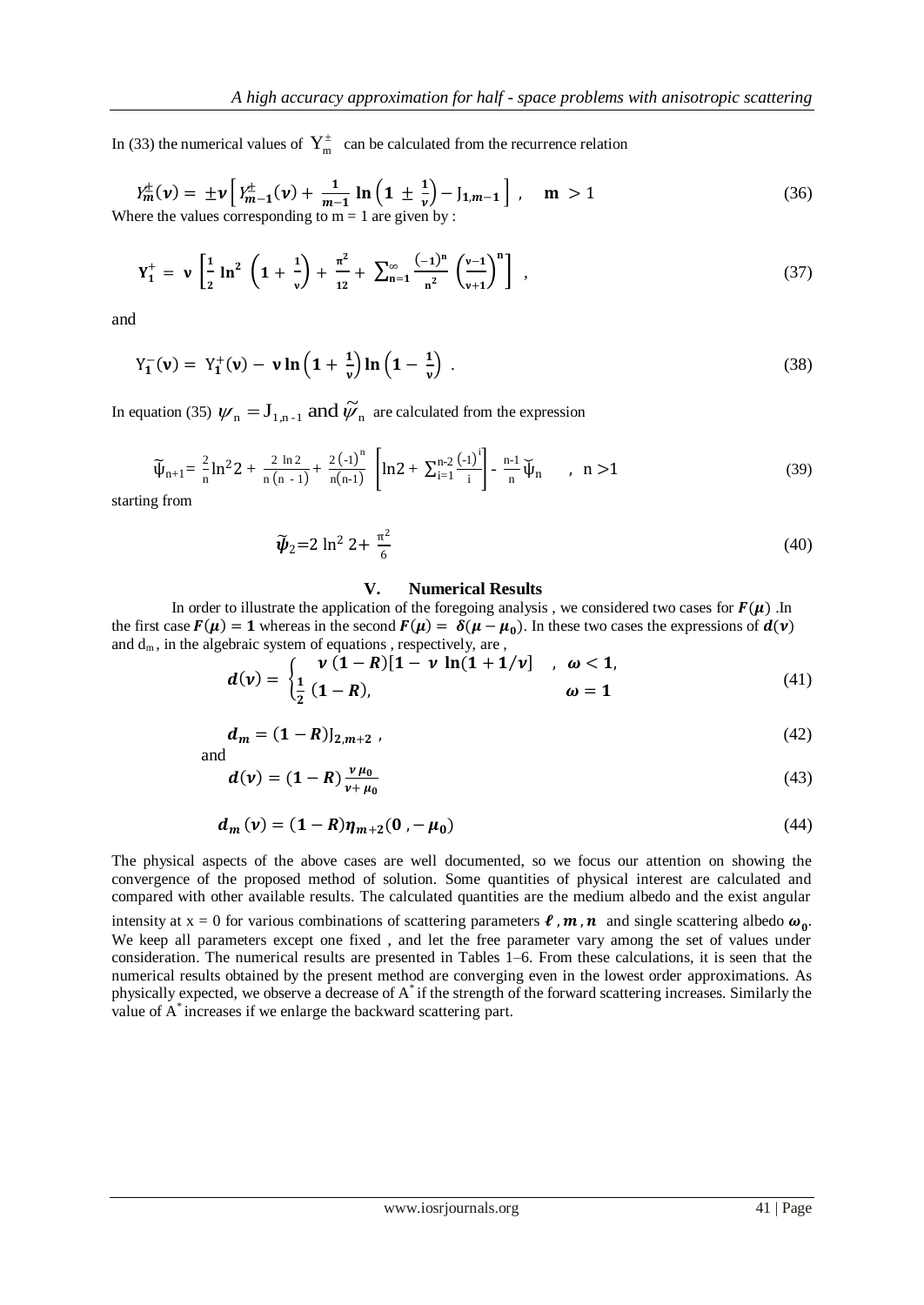In (33) the numerical values of  $Y_m^{\pm}$  can be calculated from the recurrence relation

$$
Y_m^{\pm}(\nu) = \pm \nu \left[ Y_{m-1}^{\pm}(\nu) + \frac{1}{m-1} \ln \left( 1 \pm \frac{1}{\nu} \right) - J_{1,m-1} \right], \quad m > 1
$$
 (36)  
Where the values corresponding to m = 1 are given by :

$$
Y_1^+ = \nu \left[ \frac{1}{2} \ln^2 \left( 1 + \frac{1}{\nu} \right) + \frac{\pi^2}{12} + \sum_{n=1}^{\infty} \frac{(-1)^n}{n^2} \left( \frac{\nu - 1}{\nu + 1} \right)^n \right] , \qquad (37)
$$

and

$$
Y_{1}^{-}(\mathbf{v}) = Y_{1}^{+}(\mathbf{v}) - \mathbf{v} \ln \left( 1 + \frac{1}{\mathbf{v}} \right) \ln \left( 1 - \frac{1}{\mathbf{v}} \right) \,. \tag{38}
$$

In equation (35)  $\psi_n = J_{1,n-1}$  and  $\tilde{\psi}_n$  are calculated from the expression

$$
\widetilde{\psi}_{n+1} = \frac{2}{n} \ln^2 2 + \frac{2 \ln 2}{n(n-1)} + \frac{2(-1)^n}{n(n-1)} \left[ \ln 2 + \sum_{i=1}^{n-2} \frac{(-1)^i}{i} \right] - \frac{n-1}{n} \widetilde{\psi}_n \qquad , \quad n > 1 \tag{39}
$$

starting from

$$
\tilde{\psi}_2 = 2 \ln^2 2 + \frac{\pi^2}{6} \tag{40}
$$

### **V. Numerical Results**

In order to illustrate the application of the foregoing analysis, we considered two cases for  $F(\mu)$ . In the first case  $F(\mu) = 1$  whereas in the second  $F(\mu) = \delta(\mu - \mu_0)$ . In these two cases the expressions of  $d(\nu)$ and  $d_m$ , in the algebraic system of equations, respectively, are,

$$
d(v) = \begin{cases} v(1-R)[1 - v \ln(1 + 1/v)], & \omega < 1, \\ \frac{1}{2}(1-R), & \omega = 1 \end{cases}
$$
(41)

$$
d_m = (1 - R)J_{2,m+2} \t\t(42)
$$

$$
d(\nu) = (1 - R) \frac{\nu \mu_0}{\nu + \mu_0} \tag{43}
$$

$$
d_m(v) = (1 - R)\eta_{m+2}(0, -\mu_0)
$$
\n(44)

The physical aspects of the above cases are well documented, so we focus our attention on showing the convergence of the proposed method of solution. Some quantities of physical interest are calculated and compared with other available results. The calculated quantities are the medium albedo and the exist angular

intensity at  $x = 0$  for various combinations of scattering parameters  $\ell$ ,  $m$ ,  $n$  and single scattering albedo  $\omega_0$ . We keep all parameters except one fixed , and let the free parameter vary among the set of values under consideration. The numerical results are presented in Tables 1–6. From these calculations, it is seen that the numerical results obtained by the present method are converging even in the lowest order approximations. As physically expected, we observe a decrease of A\* if the strength of the forward scattering increases. Similarly the value of A\* increases if we enlarge the backward scattering part.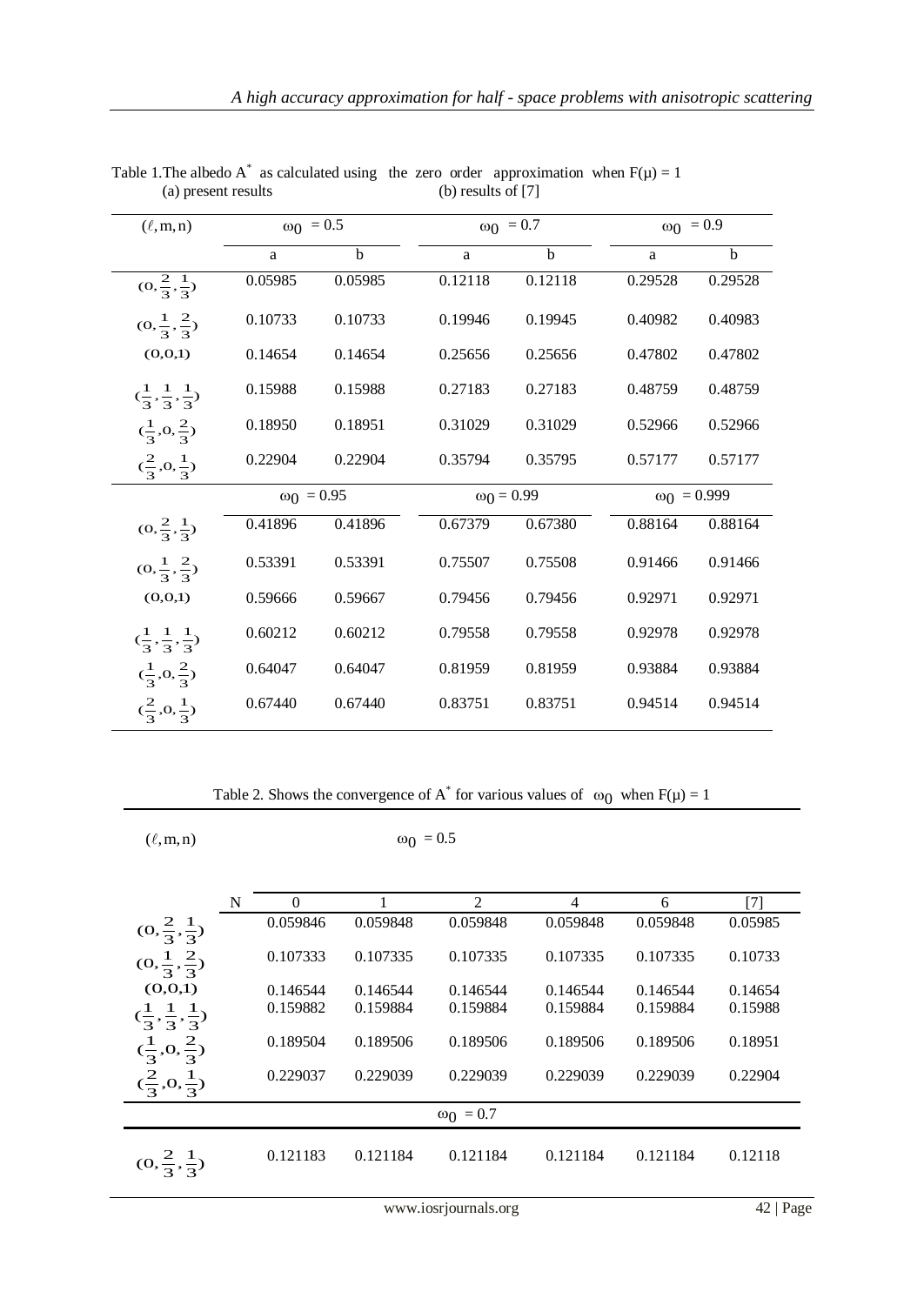| $(\ell, m, n)$                            | $ω_0 = 0.5$       |             |                   | $\omega_0 = 0.7$ |                    | $\omega_0 = 0.9$ |  |
|-------------------------------------------|-------------------|-------------|-------------------|------------------|--------------------|------------------|--|
|                                           | a                 | $\mathbf b$ | a                 | $\mathbf{h}$     | a                  | $\mathbf b$      |  |
| $(0, \frac{2}{3}, \frac{1}{3})$           | 0.05985           | 0.05985     | 0.12118           | 0.12118          | 0.29528            | 0.29528          |  |
| $(0, \frac{1}{3}, \frac{2}{3})$           | 0.10733           | 0.10733     | 0.19946           | 0.19945          | 0.40982            | 0.40983          |  |
| (0,0,1)                                   | 0.14654           | 0.14654     | 0.25656           | 0.25656          | 0.47802            | 0.47802          |  |
| $(\frac{1}{3}, \frac{1}{3}, \frac{1}{3})$ | 0.15988           | 0.15988     | 0.27183           | 0.27183          | 0.48759            | 0.48759          |  |
| $(\frac{1}{3},0,\frac{2}{3})$             | 0.18950           | 0.18951     | 0.31029           | 0.31029          | 0.52966            | 0.52966          |  |
| $(\frac{2}{3},0,\frac{1}{3})$             | 0.22904           | 0.22904     | 0.35794           | 0.35795          | 0.57177            | 0.57177          |  |
|                                           | $\omega_0 = 0.95$ |             | $\omega_0 = 0.99$ |                  | $\omega_0 = 0.999$ |                  |  |
| $(0, \frac{2}{3}, \frac{1}{3})$           | 0.41896           | 0.41896     | 0.67379           | 0.67380          | 0.88164            | 0.88164          |  |
| $(0, \frac{1}{3}, \frac{2}{3})$           | 0.53391           | 0.53391     | 0.75507           | 0.75508          | 0.91466            | 0.91466          |  |
| (0,0,1)                                   | 0.59666           | 0.59667     | 0.79456           | 0.79456          | 0.92971            | 0.92971          |  |
| $(\frac{1}{3}, \frac{1}{3}, \frac{1}{3})$ | 0.60212           | 0.60212     | 0.79558           | 0.79558          | 0.92978            | 0.92978          |  |
| $(\frac{1}{2},0,\frac{2}{2})$             | 0.64047           | 0.64047     | 0.81959           | 0.81959          | 0.93884            | 0.93884          |  |
| $(\frac{2}{3},0,\frac{1}{2})$             | 0.67440           | 0.67440     | 0.83751           | 0.83751          | 0.94514            | 0.94514          |  |

Table 1. The albedo A<sup>\*</sup> as calculated using the zero order approximation when  $F(\mu) = 1$ (a) present results (b) results of [7]

Table 2. Shows the convergence of A<sup>\*</sup> for various values of  $\omega_0$  when  $F(\mu) = 1$ 

 $(\ell, m, n)$   $\omega_0 = 0.5$ 

|                                           | N | 0        |          | $\overline{2}$   | 4        | 6        | [7]     |
|-------------------------------------------|---|----------|----------|------------------|----------|----------|---------|
| $(0,\frac{2}{3},\frac{1}{3})$             |   | 0.059846 | 0.059848 | 0.059848         | 0.059848 | 0.059848 | 0.05985 |
| $(0, \frac{1}{3}, \frac{2}{3})$           |   | 0.107333 | 0.107335 | 0.107335         | 0.107335 | 0.107335 | 0.10733 |
| (0,0,1)                                   |   | 0.146544 | 0.146544 | 0.146544         | 0.146544 | 0.146544 | 0.14654 |
| $(\frac{1}{3}, \frac{1}{3}, \frac{1}{3})$ |   | 0.159882 | 0.159884 | 0.159884         | 0.159884 | 0.159884 | 0.15988 |
| $(\frac{1}{3}, 0, \frac{2}{3})$           |   | 0.189504 | 0.189506 | 0.189506         | 0.189506 | 0.189506 | 0.18951 |
| $(\frac{2}{3},0,\frac{1}{3})$             |   | 0.229037 | 0.229039 | 0.229039         | 0.229039 | 0.229039 | 0.22904 |
|                                           |   |          |          | $\omega_0 = 0.7$ |          |          |         |
| $(0, \frac{2}{3}, \frac{1}{3})$           |   | 0.121183 | 0.121184 | 0.121184         | 0.121184 | 0.121184 | 0.12118 |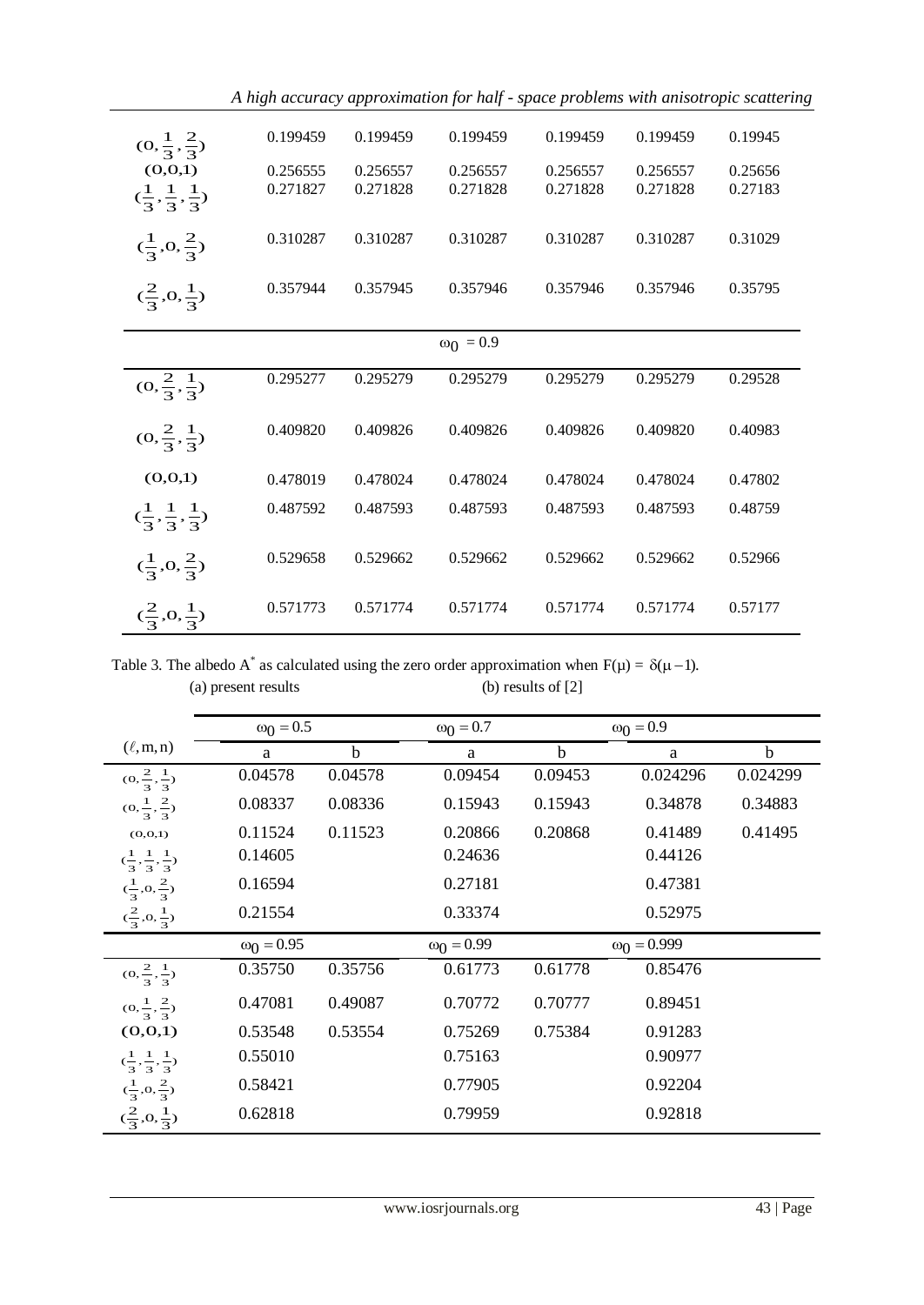| $(0, \frac{1}{3}, \frac{2}{3})$           | 0.199459 | 0.199459 | 0.199459         | 0.199459 | 0.199459 | 0.19945 |
|-------------------------------------------|----------|----------|------------------|----------|----------|---------|
| (0,0,1)                                   | 0.256555 | 0.256557 | 0.256557         | 0.256557 | 0.256557 | 0.25656 |
| $(\frac{1}{3}, \frac{1}{3}, \frac{1}{3})$ | 0.271827 | 0.271828 | 0.271828         | 0.271828 | 0.271828 | 0.27183 |
| $(\frac{1}{3},0,\frac{2}{3})$             | 0.310287 | 0.310287 | 0.310287         | 0.310287 | 0.310287 | 0.31029 |
| $(\frac{2}{3},0,\frac{1}{3})$             | 0.357944 | 0.357945 | 0.357946         | 0.357946 | 0.357946 | 0.35795 |
|                                           |          |          | $\omega_0 = 0.9$ |          |          |         |
|                                           | 0.295277 | 0.295279 | 0.295279         | 0.295279 | 0.295279 | 0.29528 |
| $(0, \frac{2}{3}, \frac{1}{3})$           |          |          |                  |          |          |         |
| $(0, \frac{2}{3}, \frac{1}{3})$           | 0.409820 | 0.409826 | 0.409826         | 0.409826 | 0.409820 | 0.40983 |
| (0,0,1)                                   | 0.478019 | 0.478024 | 0.478024         | 0.478024 | 0.478024 | 0.47802 |
| $(\frac{1}{3}, \frac{1}{3}, \frac{1}{3})$ | 0.487592 | 0.487593 | 0.487593         | 0.487593 | 0.487593 | 0.48759 |
| $(\frac{1}{3},0,\frac{2}{3})$             | 0.529658 | 0.529662 | 0.529662         | 0.529662 | 0.529662 | 0.52966 |
| $(\frac{2}{3},0,\frac{1}{3})$             | 0.571773 | 0.571774 | 0.571774         | 0.571774 | 0.571774 | 0.57177 |

*A high accuracy approximation for half - space problems with anisotropic scattering*

Table 3. The albedo A<sup>\*</sup> as calculated using the zero order approximation when  $F(\mu) = \delta(\mu - 1)$ . (a) present results (b) results of [2]

|                                           | $ω_0 = 0.5$       |             | $\omega_0 = 0.7$  |             | $\omega_0 = 0.9$   |             |
|-------------------------------------------|-------------------|-------------|-------------------|-------------|--------------------|-------------|
| $(\ell, m, n)$                            | a                 | $\mathbf b$ | a                 | $\mathbf b$ | a                  | $\mathbf b$ |
| $(0, \frac{2}{3}, \frac{1}{3})$           | 0.04578           | 0.04578     | 0.09454           | 0.09453     | 0.024296           | 0.024299    |
| $(0, \frac{1}{3}, \frac{2}{3})$           | 0.08337           | 0.08336     | 0.15943           | 0.15943     | 0.34878            | 0.34883     |
| (0,0,1)                                   | 0.11524           | 0.11523     | 0.20866           | 0.20868     | 0.41489            | 0.41495     |
| $(\frac{1}{3}, \frac{1}{3}, \frac{1}{3})$ | 0.14605           |             | 0.24636           |             | 0.44126            |             |
| $(\frac{1}{3},0,\frac{2}{3})$             | 0.16594           |             | 0.27181           |             | 0.47381            |             |
| $(\frac{2}{3},0,\frac{1}{3})$             | 0.21554           |             | 0.33374           |             | 0.52975            |             |
|                                           | $\omega_0 = 0.95$ |             | $\omega_0 = 0.99$ |             | $\omega_0 = 0.999$ |             |
| $(0, \frac{2}{3}, \frac{1}{3})$           | 0.35750           | 0.35756     | 0.61773           | 0.61778     | 0.85476            |             |
| $(0, \frac{1}{3}, \frac{2}{3})$           | 0.47081           | 0.49087     | 0.70772           | 0.70777     | 0.89451            |             |
| (0,0,1)                                   | 0.53548           | 0.53554     | 0.75269           | 0.75384     | 0.91283            |             |
| $(\frac{1}{3}, \frac{1}{3}, \frac{1}{3})$ | 0.55010           |             | 0.75163           |             | 0.90977            |             |
| $(\frac{1}{3},0,\frac{2}{3})$             | 0.58421           |             | 0.77905           |             | 0.92204            |             |
| $(\frac{2}{3},0,\frac{1}{3})$             | 0.62818           |             | 0.79959           |             | 0.92818            |             |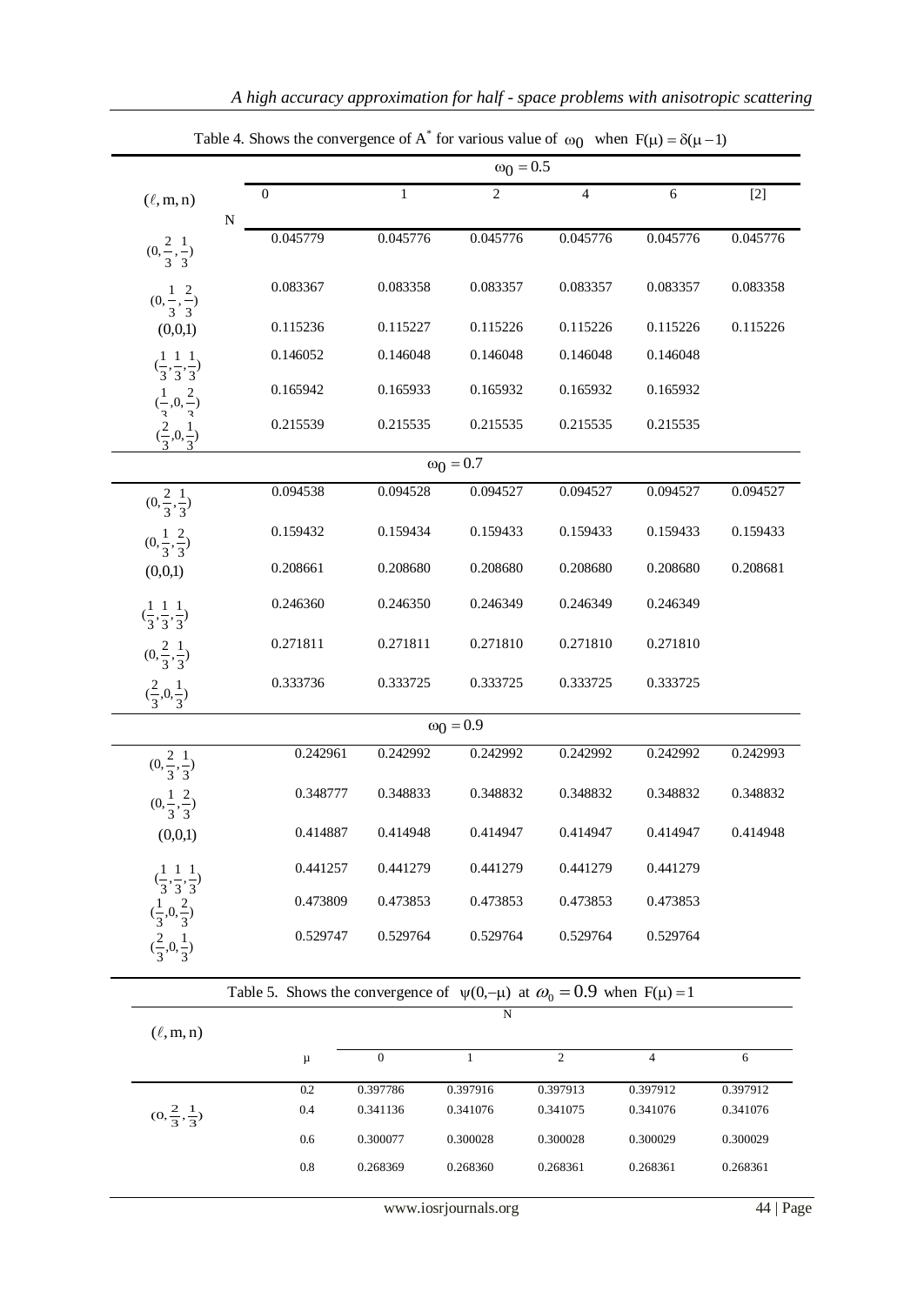|                                                                |                                                                                        | $\omega_0 = 0.5$ |                  |                |                |          |  |  |
|----------------------------------------------------------------|----------------------------------------------------------------------------------------|------------------|------------------|----------------|----------------|----------|--|--|
| $(\ell, m, n)$                                                 | $\boldsymbol{0}$<br>${\bf N}$                                                          | $\mathbf{1}$     | $\overline{2}$   | $\overline{4}$ | 6              | $[2]$    |  |  |
| $(0, \frac{2}{3}, \frac{1}{3})$                                | 0.045779                                                                               | 0.045776         | 0.045776         | 0.045776       | 0.045776       | 0.045776 |  |  |
| $(0, \frac{1}{3}, \frac{2}{3})$                                | 0.083367                                                                               | 0.083358         | 0.083357         | 0.083357       | 0.083357       | 0.083358 |  |  |
| (0,0,1)                                                        | 0.115236                                                                               | 0.115227         | 0.115226         | 0.115226       | 0.115226       | 0.115226 |  |  |
| $(\frac{1}{3}, \frac{1}{3}, \frac{1}{3})$                      | 0.146052                                                                               | 0.146048         | 0.146048         | 0.146048       | 0.146048       |          |  |  |
|                                                                | 0.165942                                                                               | 0.165933         | 0.165932         | 0.165932       | 0.165932       |          |  |  |
| $\frac{1}{3}, 0, \frac{2}{3}$<br>$\frac{2}{3}, 0, \frac{1}{3}$ | 0.215539                                                                               | 0.215535         | 0.215535         | 0.215535       | 0.215535       |          |  |  |
|                                                                |                                                                                        |                  | $\omega_0 = 0.7$ |                |                |          |  |  |
| $(0, \frac{2}{3}, \frac{1}{3})$                                | 0.094538                                                                               | 0.094528         | 0.094527         | 0.094527       | 0.094527       | 0.094527 |  |  |
| $(0, \frac{1}{3}, \frac{2}{3})$                                | 0.159432                                                                               | 0.159434         | 0.159433         | 0.159433       | 0.159433       | 0.159433 |  |  |
| (0,0,1)                                                        | 0.208661                                                                               | 0.208680         | 0.208680         | 0.208680       | 0.208680       | 0.208681 |  |  |
| $(\frac{1}{3}, \frac{1}{3}, \frac{1}{3})$                      | 0.246360                                                                               | 0.246350         | 0.246349         | 0.246349       | 0.246349       |          |  |  |
| $(0, \frac{2}{3}, \frac{1}{3})$                                | 0.271811                                                                               | 0.271811         | 0.271810         | 0.271810       | 0.271810       |          |  |  |
| $(\frac{2}{3},0,\frac{1}{3})$                                  | 0.333736                                                                               | 0.333725         | 0.333725         | 0.333725       | 0.333725       |          |  |  |
|                                                                |                                                                                        |                  | $\omega_0 = 0.9$ |                |                |          |  |  |
| $(0, \frac{2}{3}, \frac{1}{3})$                                | 0.242961                                                                               | 0.242992         | 0.242992         | 0.242992       | 0.242992       | 0.242993 |  |  |
| $(0, \frac{1}{3}, \frac{2}{3})$                                | 0.348777                                                                               | 0.348833         | 0.348832         | 0.348832       | 0.348832       | 0.348832 |  |  |
| (0,0,1)                                                        | 0.414887                                                                               | 0.414948         | 0.414947         | 0.414947       | 0.414947       | 0.414948 |  |  |
| $(\frac{1}{3}, \frac{1}{3}, \frac{1}{3})$                      | 0.441257                                                                               | 0.441279         | 0.441279         | 0.441279       | 0.441279       |          |  |  |
|                                                                | 0.473809                                                                               | 0.473853         | 0.473853         | 0.473853       | 0.473853       |          |  |  |
| $\frac{1}{3}, 0, \frac{2}{3}$<br>$\frac{2}{3}, 0, \frac{1}{3}$ | 0.529747                                                                               | 0.529764         | 0.529764         | 0.529764       | 0.529764       |          |  |  |
|                                                                | Table 5. Shows the convergence of $\psi(0,-\mu)$ at $\omega_0 = 0.9$ when $F(\mu) = 1$ |                  |                  |                |                |          |  |  |
| $(\ell, m, n)$                                                 |                                                                                        |                  | N                |                |                |          |  |  |
|                                                                | $\mu$                                                                                  | $\boldsymbol{0}$ | $\mathbf{1}$     | $\overline{c}$ | $\overline{4}$ | 6        |  |  |
|                                                                | 0.2                                                                                    | 0.397786         | 0.397916         | 0.397913       | 0.397912       | 0.397912 |  |  |
| $(0, \frac{2}{3}, \frac{1}{3})$                                | 0.4                                                                                    | 0.341136         | 0.341076         | 0.341075       | 0.341076       | 0.341076 |  |  |
|                                                                | 0.6                                                                                    | 0.300077         | 0.300028         | 0.300028       | 0.300029       | 0.300029 |  |  |
|                                                                | $0.8\,$                                                                                | 0.268369         | 0.268360         | 0.268361       | 0.268361       | 0.268361 |  |  |

Table 4. Shows the convergence of A<sup>\*</sup> for various value of  $\omega_0$  when  $F(\mu) = \delta(\mu - 1)$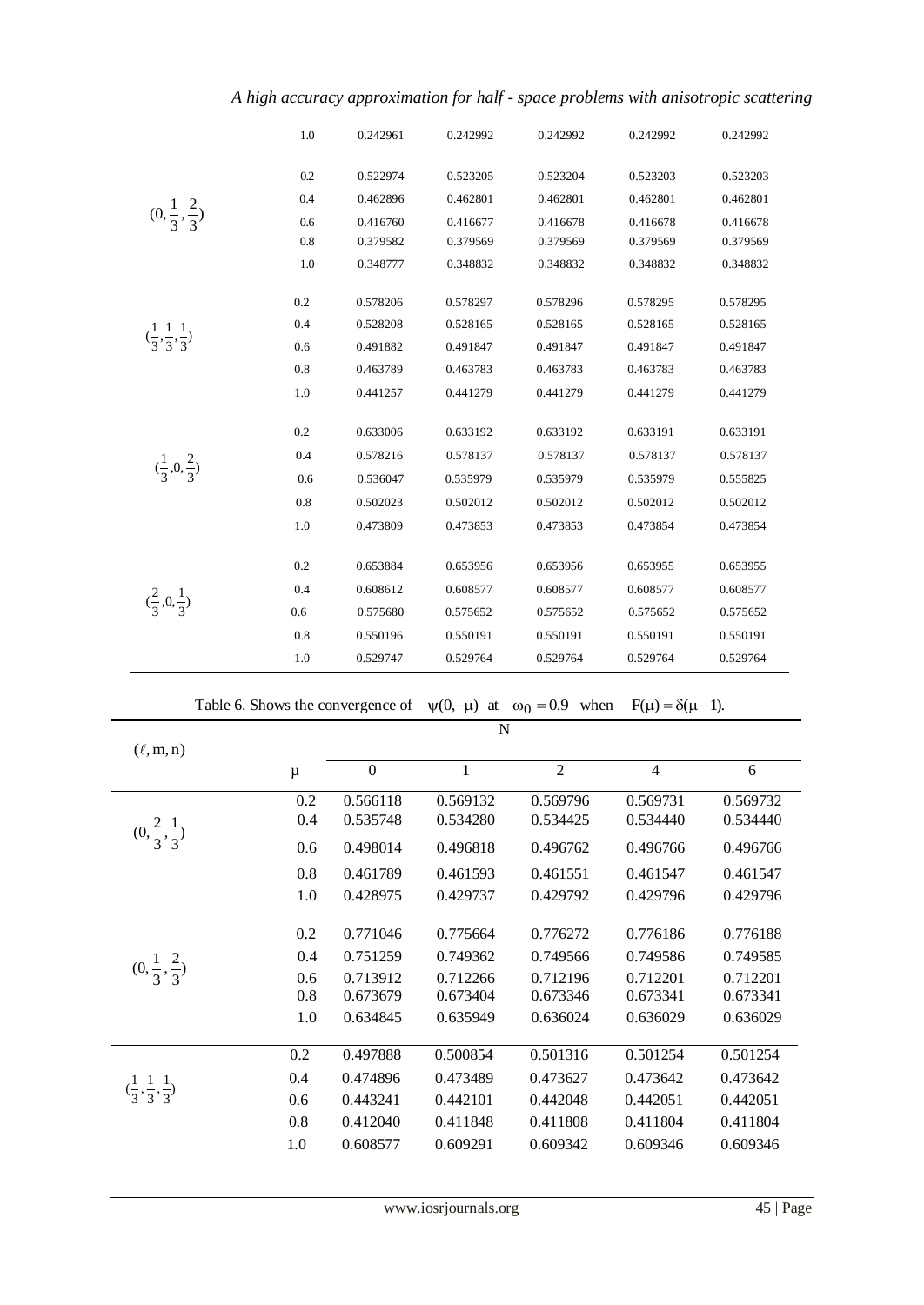|                                           | 1.0              | 0.242961         | 0.242992 | 0.242992                                                                  | 0.242992                     | 0.242992 |
|-------------------------------------------|------------------|------------------|----------|---------------------------------------------------------------------------|------------------------------|----------|
|                                           | 0.2              | 0.522974         | 0.523205 | 0.523204                                                                  | 0.523203                     | 0.523203 |
|                                           | 0.4              | 0.462896         | 0.462801 | 0.462801                                                                  | 0.462801                     | 0.462801 |
| $(0, \frac{1}{3}, \frac{2}{3})$           | 0.6              | 0.416760         | 0.416677 | 0.416678                                                                  | 0.416678                     | 0.416678 |
|                                           | 0.8              | 0.379582         | 0.379569 | 0.379569                                                                  | 0.379569                     | 0.379569 |
|                                           | 1.0              | 0.348777         | 0.348832 | 0.348832                                                                  | 0.348832                     | 0.348832 |
|                                           | 0.2              | 0.578206         | 0.578297 | 0.578296                                                                  | 0.578295                     | 0.578295 |
|                                           | 0.4              | 0.528208         | 0.528165 | 0.528165                                                                  | 0.528165                     | 0.528165 |
| $(\frac{1}{3}, \frac{1}{3}, \frac{1}{3})$ | 0.6              | 0.491882         | 0.491847 | 0.491847                                                                  | 0.491847                     | 0.491847 |
|                                           | 0.8              | 0.463789         | 0.463783 | 0.463783                                                                  | 0.463783                     | 0.463783 |
|                                           | 1.0              | 0.441257         | 0.441279 | 0.441279                                                                  | 0.441279                     | 0.441279 |
|                                           | 0.2              | 0.633006         | 0.633192 | 0.633192                                                                  | 0.633191                     | 0.633191 |
|                                           | 0.4              | 0.578216         | 0.578137 | 0.578137                                                                  | 0.578137                     | 0.578137 |
| $(\frac{1}{3},0,\frac{2}{3})$             | 0.6              | 0.536047         | 0.535979 | 0.535979                                                                  | 0.535979                     | 0.555825 |
|                                           | 0.8              | 0.502023         | 0.502012 | 0.502012                                                                  | 0.502012                     | 0.502012 |
|                                           | 1.0              | 0.473809         | 0.473853 | 0.473853                                                                  | 0.473854                     | 0.473854 |
| $(\frac{2}{3},0,\frac{1}{3})$             | 0.2              | 0.653884         | 0.653956 | 0.653956                                                                  | 0.653955                     | 0.653955 |
|                                           | 0.4              | 0.608612         | 0.608577 | 0.608577                                                                  | 0.608577                     | 0.608577 |
|                                           | 0.6              | 0.575680         | 0.575652 | 0.575652                                                                  | 0.575652                     | 0.575652 |
|                                           | 0.8              | 0.550196         | 0.550191 | 0.550191                                                                  | 0.550191                     | 0.550191 |
|                                           | 1.0              | 0.529747         | 0.529764 | 0.529764                                                                  | 0.529764                     | 0.529764 |
|                                           |                  |                  |          | Table 6. Shows the convergence of $\psi(0,-\mu)$ at $\omega_0 = 0.9$ when | $F(\mu) = \delta(\mu - 1)$ . |          |
|                                           |                  |                  | N        |                                                                           |                              |          |
| $(\ell, m, n)$                            |                  |                  |          |                                                                           |                              |          |
|                                           | $\mu$            | $\boldsymbol{0}$ | 1        | $\overline{2}$                                                            | $\overline{4}$               | 6        |
|                                           | $\overline{0.2}$ | 0.566118         | 0.569132 | 0.569796                                                                  | 0.569731                     | 0.569732 |
| $(0, \frac{2}{3}, \frac{1}{3})$           | 0.4              | 0.535748         | 0.534280 | 0.534425                                                                  | 0.534440                     | 0.534440 |
|                                           | 0.6              | 0.498014         | 0.496818 | 0.496762                                                                  | 0.496766                     | 0.496766 |
|                                           | 0.8              | 0.461789         | 0.461593 | 0.461551                                                                  | 0.461547                     | 0.461547 |
|                                           | 1.0              | 0.428975         | 0.429737 | 0.429792                                                                  | 0.429796                     | 0.429796 |
|                                           | 0.2              | 0.771046         | 0.775664 | 0.776272                                                                  | 0.776186                     | 0.776188 |
|                                           | 0.4              | 0.751259         | 0.749362 | 0.749566                                                                  | 0.749586                     | 0.749585 |
| $(0, \frac{1}{3}, \frac{2}{3})$           | 0.6              | 0.713912         | 0.712266 | 0.712196                                                                  | 0.712201                     | 0.712201 |
|                                           | 0.8              | 0.673679         | 0.673404 | 0.673346                                                                  | 0.673341                     | 0.673341 |
|                                           | 1.0              | 0.634845         | 0.635949 | 0.636024                                                                  | 0.636029                     | 0.636029 |
|                                           | 0.2              | 0.497888         | 0.500854 | 0.501316                                                                  | 0.501254                     | 0.501254 |
| $(\frac{1}{3}, \frac{1}{3}, \frac{1}{3})$ | 0.4              | 0.474896         | 0.473489 | 0.473627                                                                  | 0.473642                     | 0.473642 |
|                                           | 0.6              | 0.443241         | 0.442101 | 0.442048                                                                  | 0.442051                     | 0.442051 |
|                                           | 0.8              | 0.412040         | 0.411848 | 0.411808                                                                  | 0.411804                     | 0.411804 |
|                                           | $1.0\,$          | 0.608577         | 0.609291 | 0.609342                                                                  | 0.609346                     | 0.609346 |

www.iosrjournals.org 45 | Page